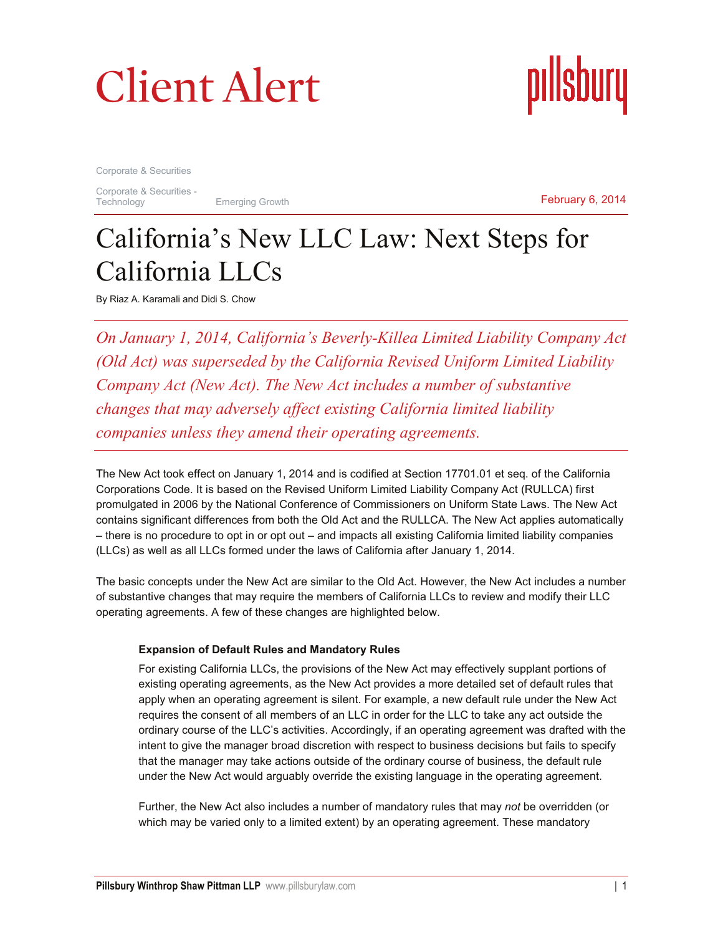# Client Alert

**Client Alert** Corporate & Securities pıllsbury

Corporate & Securities

Corporate & Securities -<br>Technology

Emerging Growth

February 6, 2014

## California's New LLC Law: Next Steps for California LLCs

By Riaz A. Karamali and Didi S. Chow

*On January 1, 2014, California's Beverly-Killea Limited Liability Company Act (Old Act) was superseded by the California Revised Uniform Limited Liability Company Act (New Act). The New Act includes a number of substantive changes that may adversely affect existing California limited liability companies unless they amend their operating agreements.*

The New Act took effect on January 1, 2014 and is codified at Section 17701.01 et seq. of the California Corporations Code. It is based on the Revised Uniform Limited Liability Company Act (RULLCA) first promulgated in 2006 by the National Conference of Commissioners on Uniform State Laws. The New Act contains significant differences from both the Old Act and the RULLCA. The New Act applies automatically – there is no procedure to opt in or opt out – and impacts all existing California limited liability companies (LLCs) as well as all LLCs formed under the laws of California after January 1, 2014.

The basic concepts under the New Act are similar to the Old Act. However, the New Act includes a number of substantive changes that may require the members of California LLCs to review and modify their LLC operating agreements. A few of these changes are highlighted below.

### **Expansion of Default Rules and Mandatory Rules**

For existing California LLCs, the provisions of the New Act may effectively supplant portions of existing operating agreements, as the New Act provides a more detailed set of default rules that apply when an operating agreement is silent. For example, a new default rule under the New Act requires the consent of all members of an LLC in order for the LLC to take any act outside the ordinary course of the LLC's activities. Accordingly, if an operating agreement was drafted with the intent to give the manager broad discretion with respect to business decisions but fails to specify that the manager may take actions outside of the ordinary course of business, the default rule under the New Act would arguably override the existing language in the operating agreement.

Further, the New Act also includes a number of mandatory rules that may *not* be overridden (or which may be varied only to a limited extent) by an operating agreement. These mandatory